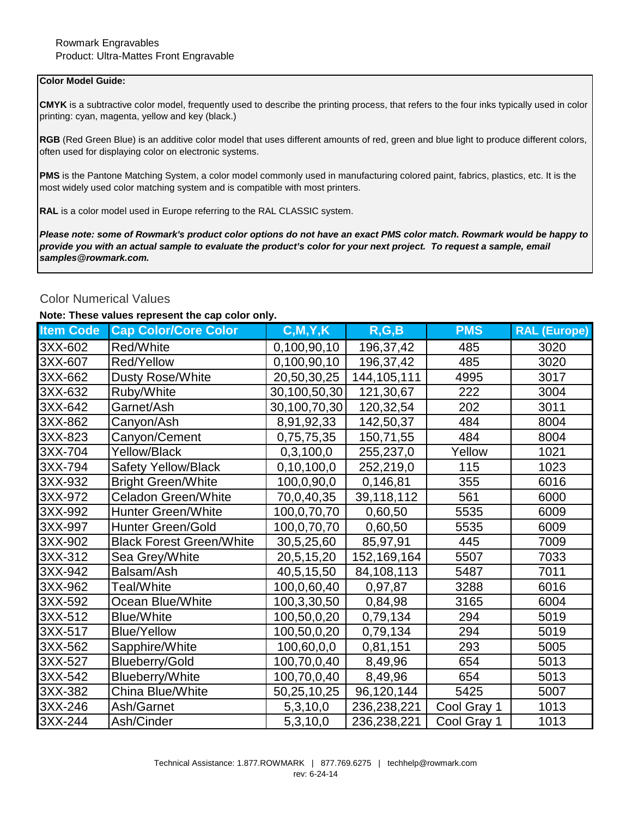## **Color Model Guide:**

**CMYK** is a subtractive color model, frequently used to describe the printing process, that refers to the four inks typically used in color printing: cyan, magenta, yellow and key (black.)

**RGB** (Red Green Blue) is an additive color model that uses different amounts of red, green and blue light to produce different colors, often used for displaying color on electronic systems.

**PMS** is the Pantone Matching System, a color model commonly used in manufacturing colored paint, fabrics, plastics, etc. It is the most widely used color matching system and is compatible with most printers.

**RAL** is a color model used in Europe referring to the RAL CLASSIC system.

*Please note: some of Rowmark's product color options do not have an exact PMS color match. Rowmark would be happy to provide you with an actual sample to evaluate the product's color for your next project. To request a sample, email samples@rowmark.com.* 

## Color Numerical Values

## **Note: These values represent the cap color only.**

| <b>Item Code</b> | <b>Cap Color/Core Color</b>     | C, M, Y, K    | R, G, B     | <b>PMS</b>  | <b>RAL (Europe)</b> |
|------------------|---------------------------------|---------------|-------------|-------------|---------------------|
| 3XX-602          | Red/White                       | 0,100,90,10   | 196, 37, 42 | 485         | 3020                |
| 3XX-607          | Red/Yellow                      | 0,100,90,10   | 196,37,42   | 485         | 3020                |
| 3XX-662          | <b>Dusty Rose/White</b>         | 20,50,30,25   | 144,105,111 | 4995        | 3017                |
| 3XX-632          | Ruby/White                      | 30,100,50,30  | 121,30,67   | 222         | 3004                |
| 3XX-642          | Garnet/Ash                      | 30,100,70,30  | 120,32,54   | 202         | 3011                |
| 3XX-862          | Canyon/Ash                      | 8,91,92,33    | 142,50,37   | 484         | 8004                |
| 3XX-823          | Canyon/Cement                   | 0,75,75,35    | 150,71,55   | 484         | 8004                |
| 3XX-704          | <b>Yellow/Black</b>             | 0,3,100,0     | 255,237,0   | Yellow      | 1021                |
| 3XX-794          | <b>Safety Yellow/Black</b>      | 0, 10, 100, 0 | 252,219,0   | 115         | 1023                |
| 3XX-932          | <b>Bright Green/White</b>       | 100,0,90,0    | 0,146,81    | 355         | 6016                |
| 3XX-972          | <b>Celadon Green/White</b>      | 70,0,40,35    | 39,118,112  | 561         | 6000                |
| 3XX-992          | <b>Hunter Green/White</b>       | 100,0,70,70   | 0,60,50     | 5535        | 6009                |
| 3XX-997          | <b>Hunter Green/Gold</b>        | 100,0,70,70   | 0,60,50     | 5535        | 6009                |
| 3XX-902          | <b>Black Forest Green/White</b> | 30,5,25,60    | 85,97,91    | 445         | 7009                |
| 3XX-312          | Sea Grey/White                  | 20,5,15,20    | 152,169,164 | 5507        | 7033                |
| 3XX-942          | Balsam/Ash                      | 40,5,15,50    | 84,108,113  | 5487        | 7011                |
| 3XX-962          | Teal/White                      | 100,0,60,40   | 0,97,87     | 3288        | 6016                |
| 3XX-592          | Ocean Blue/White                | 100,3,30,50   | 0,84,98     | 3165        | 6004                |
| 3XX-512          | <b>Blue/White</b>               | 100,50,0,20   | 0,79,134    | 294         | 5019                |
| 3XX-517          | <b>Blue/Yellow</b>              | 100,50,0,20   | 0,79,134    | 294         | 5019                |
| 3XX-562          | Sapphire/White                  | 100,60,0,0    | 0,81,151    | 293         | 5005                |
| 3XX-527          | <b>Blueberry/Gold</b>           | 100,70,0,40   | 8,49,96     | 654         | 5013                |
| 3XX-542          | <b>Blueberry/White</b>          | 100,70,0,40   | 8,49,96     | 654         | 5013                |
| 3XX-382          | China Blue/White                | 50,25,10,25   | 96,120,144  | 5425        | 5007                |
| 3XX-246          | Ash/Garnet                      | 5,3,10,0      | 236,238,221 | Cool Gray 1 | 1013                |
| 3XX-244          | Ash/Cinder                      | 5,3,10,0      | 236,238,221 | Cool Gray 1 | 1013                |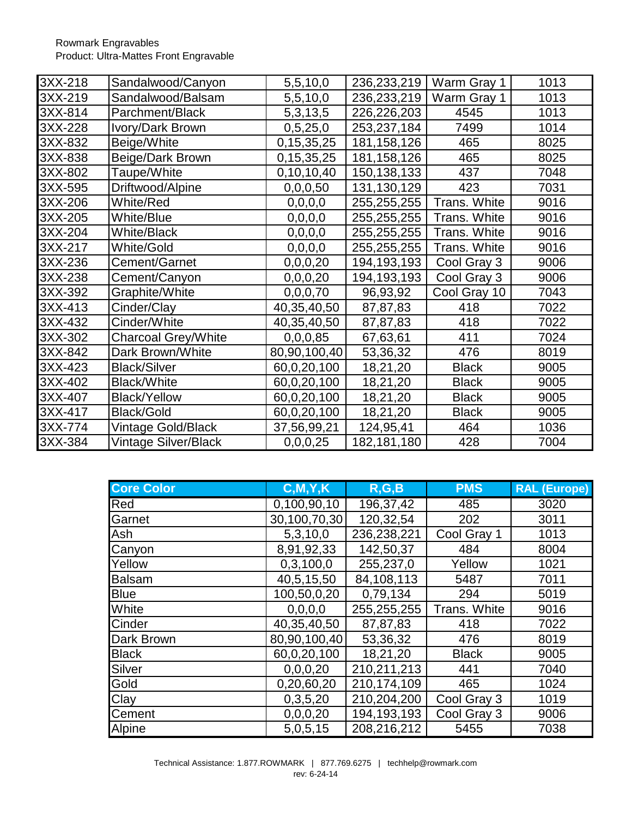Rowmark Engravables Product: Ultra-Mattes Front Engravable

| 3XX-218 | Sandalwood/Canyon          | 5,5,10,0      | 236, 233, 219 | Warm Gray 1  | 1013 |
|---------|----------------------------|---------------|---------------|--------------|------|
| 3XX-219 | Sandalwood/Balsam          | 5,5,10,0      | 236,233,219   | Warm Gray 1  | 1013 |
| 3XX-814 | Parchment/Black            | 5, 3, 13, 5   | 226,226,203   | 4545         | 1013 |
| 3XX-228 | Ivory/Dark Brown           | 0,5,25,0      | 253,237,184   | 7499         | 1014 |
| 3XX-832 | Beige/White                | 0,15,35,25    | 181,158,126   | 465          | 8025 |
| 3XX-838 | Beige/Dark Brown           | 0,15,35,25    | 181, 158, 126 | 465          | 8025 |
| 3XX-802 | Taupe/White                | 0, 10, 10, 40 | 150,138,133   | 437          | 7048 |
| 3XX-595 | Driftwood/Alpine           | 0,0,0,50      | 131,130,129   | 423          | 7031 |
| 3XX-206 | White/Red                  | 0, 0, 0, 0    | 255,255,255   | Trans. White | 9016 |
| 3XX-205 | <b>White/Blue</b>          | 0, 0, 0, 0    | 255,255,255   | Trans. White | 9016 |
| 3XX-204 | <b>White/Black</b>         | 0, 0, 0, 0    | 255,255,255   | Trans. White | 9016 |
| 3XX-217 | <b>White/Gold</b>          | 0, 0, 0, 0    | 255,255,255   | Trans. White | 9016 |
| 3XX-236 | Cement/Garnet              | 0,0,0,20      | 194,193,193   | Cool Gray 3  | 9006 |
| 3XX-238 | Cement/Canyon              | 0,0,0,20      | 194,193,193   | Cool Gray 3  | 9006 |
| 3XX-392 | Graphite/White             | 0,0,0,70      | 96,93,92      | Cool Gray 10 | 7043 |
| 3XX-413 | Cinder/Clay                | 40,35,40,50   | 87,87,83      | 418          | 7022 |
| 3XX-432 | Cinder/White               | 40,35,40,50   | 87,87,83      | 418          | 7022 |
| 3XX-302 | <b>Charcoal Grey/White</b> | 0,0,0,85      | 67,63,61      | 411          | 7024 |
| 3XX-842 | Dark Brown/White           | 80,90,100,40  | 53,36,32      | 476          | 8019 |
| 3XX-423 | <b>Black/Silver</b>        | 60,0,20,100   | 18,21,20      | <b>Black</b> | 9005 |
| 3XX-402 | <b>Black/White</b>         | 60,0,20,100   | 18,21,20      | <b>Black</b> | 9005 |
| 3XX-407 | <b>Black/Yellow</b>        | 60,0,20,100   | 18,21,20      | <b>Black</b> | 9005 |
| 3XX-417 | <b>Black/Gold</b>          | 60,0,20,100   | 18,21,20      | <b>Black</b> | 9005 |
| 3XX-774 | Vintage Gold/Black         | 37,56,99,21   | 124,95,41     | 464          | 1036 |
| 3XX-384 | Vintage Silver/Black       | 0,0,0,25      | 182, 181, 180 | 428          | 7004 |

| <b>Core Color</b> | C, M, Y, K   | R, G, B     | <b>PMS</b>   | <b>RAL (Europe)</b> |
|-------------------|--------------|-------------|--------------|---------------------|
| Red               | 0,100,90,10  | 196,37,42   | 485          | 3020                |
| Garnet            | 30,100,70,30 | 120,32,54   | 202          | 3011                |
| Ash               | 5,3,10,0     | 236,238,221 | Cool Gray 1  | 1013                |
| Canyon            | 8,91,92,33   | 142,50,37   | 484          | 8004                |
| Yellow            | 0,3,100,0    | 255,237,0   | Yellow       | 1021                |
| <b>Balsam</b>     | 40,5,15,50   | 84,108,113  | 5487         | 7011                |
| <b>Blue</b>       | 100,50,0,20  | 0,79,134    | 294          | 5019                |
| White             | 0, 0, 0, 0   | 255,255,255 | Trans. White | 9016                |
| Cinder            | 40,35,40,50  | 87,87,83    | 418          | 7022                |
| <b>Dark Brown</b> | 80,90,100,40 | 53,36,32    | 476          | 8019                |
| <b>Black</b>      | 60,0,20,100  | 18,21,20    | <b>Black</b> | 9005                |
| Silver            | 0,0,0,20     | 210,211,213 | 441          | 7040                |
| Gold              | 0,20,60,20   | 210,174,109 | 465          | 1024                |
| Clay              | 0,3,5,20     | 210,204,200 | Cool Gray 3  | 1019                |
| <b>Cement</b>     | 0,0,0,20     | 194,193,193 | Cool Gray 3  | 9006                |
| <b>Alpine</b>     | 5,0,5,15     | 208,216,212 | 5455         | 7038                |